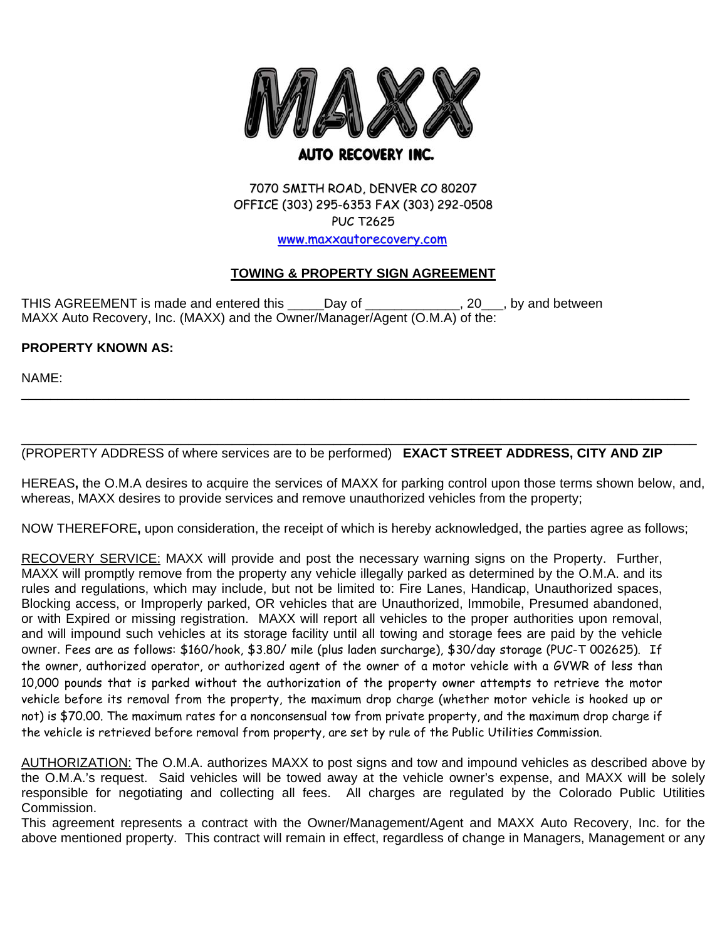

# 7070 SMITH ROAD, DENVER CO 80207 OFFICE (303) 295-6353 FAX (303) 292-0508 PUC T2625 www.maxxautorecovery.com

# **TOWING & PROPERTY SIGN AGREEMENT**

THIS AGREEMENT is made and entered this \_\_\_\_\_Day of \_\_\_\_\_\_\_\_\_\_\_\_\_, 20\_\_\_, by and between MAXX Auto Recovery, Inc. (MAXX) and the Owner/Manager/Agent (O.M.A) of the:

# **PROPERTY KNOWN AS:**

NAME:

#### \_\_\_\_\_\_\_\_\_\_\_\_\_\_\_\_\_\_\_\_\_\_\_\_\_\_\_\_\_\_\_\_\_\_\_\_\_\_\_\_\_\_\_\_\_\_\_\_\_\_\_\_\_\_\_\_\_\_\_\_\_\_\_\_\_\_\_\_\_\_\_\_\_\_\_\_\_\_\_\_\_\_\_\_\_\_\_\_\_\_\_\_\_ (PROPERTY ADDRESS of where services are to be performed) **EXACT STREET ADDRESS, CITY AND ZIP**

HEREAS**,** the O.M.A desires to acquire the services of MAXX for parking control upon those terms shown below, and, whereas, MAXX desires to provide services and remove unauthorized vehicles from the property;

\_\_\_\_\_\_\_\_\_\_\_\_\_\_\_\_\_\_\_\_\_\_\_\_\_\_\_\_\_\_\_\_\_\_\_\_\_\_\_\_\_\_\_\_\_\_\_\_\_\_\_\_\_\_\_\_\_\_\_\_\_\_\_\_\_\_\_\_\_\_\_\_\_\_\_\_\_\_\_\_\_\_\_\_\_\_\_\_\_\_\_\_

NOW THEREFORE**,** upon consideration, the receipt of which is hereby acknowledged, the parties agree as follows;

RECOVERY SERVICE: MAXX will provide and post the necessary warning signs on the Property. Further, MAXX will promptly remove from the property any vehicle illegally parked as determined by the O.M.A. and its rules and regulations, which may include, but not be limited to: Fire Lanes, Handicap, Unauthorized spaces, Blocking access, or Improperly parked, OR vehicles that are Unauthorized, Immobile, Presumed abandoned, or with Expired or missing registration. MAXX will report all vehicles to the proper authorities upon removal, and will impound such vehicles at its storage facility until all towing and storage fees are paid by the vehicle owner. Fees are as follows: \$160/hook, \$3.80/ mile (plus laden surcharge), \$30/day storage (PUC-T 002625). If the owner, authorized operator, or authorized agent of the owner of a motor vehicle with a GVWR of less than 10,000 pounds that is parked without the authorization of the property owner attempts to retrieve the motor vehicle before its removal from the property, the maximum drop charge (whether motor vehicle is hooked up or not) is \$70.00. The maximum rates for a nonconsensual tow from private property, and the maximum drop charge if the vehicle is retrieved before removal from property, are set by rule of the Public Utilities Commission.

AUTHORIZATION: The O.M.A. authorizes MAXX to post signs and tow and impound vehicles as described above by the O.M.A.'s request. Said vehicles will be towed away at the vehicle owner's expense, and MAXX will be solely responsible for negotiating and collecting all fees. All charges are regulated by the Colorado Public Utilities Commission.

This agreement represents a contract with the Owner/Management/Agent and MAXX Auto Recovery, Inc. for the above mentioned property. This contract will remain in effect, regardless of change in Managers, Management or any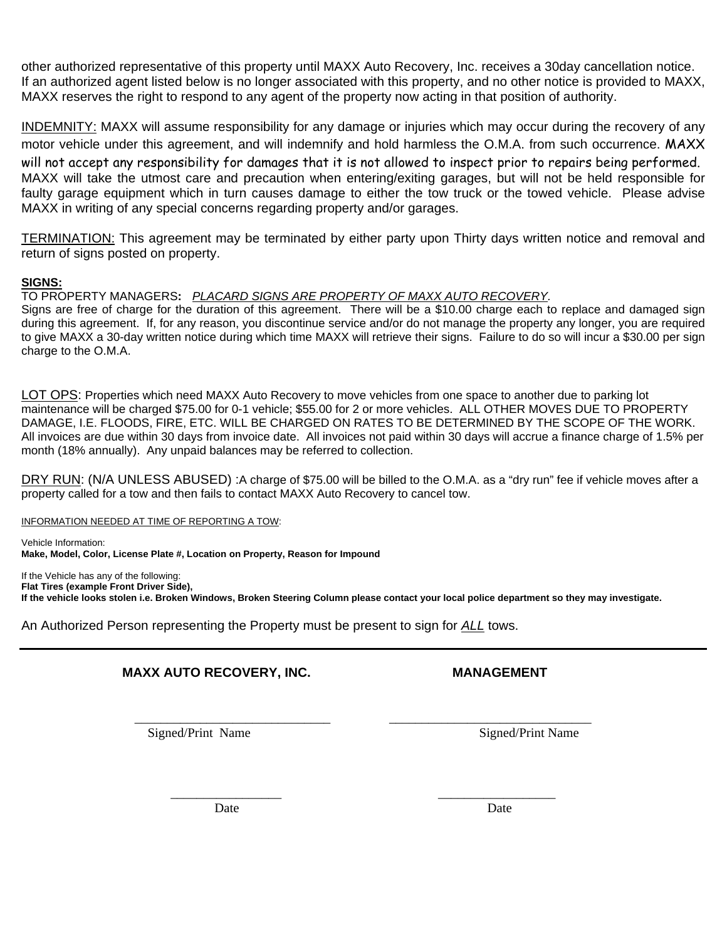other authorized representative of this property until MAXX Auto Recovery, Inc. receives a 30day cancellation notice. If an authorized agent listed below is no longer associated with this property, and no other notice is provided to MAXX, MAXX reserves the right to respond to any agent of the property now acting in that position of authority.

INDEMNITY: MAXX will assume responsibility for any damage or injuries which may occur during the recovery of any motor vehicle under this agreement, and will indemnify and hold harmless the O.M.A. from such occurrence. MAXX will not accept any responsibility for damages that it is not allowed to inspect prior to repairs being performed. MAXX will take the utmost care and precaution when entering/exiting garages, but will not be held responsible for faulty garage equipment which in turn causes damage to either the tow truck or the towed vehicle. Please advise MAXX in writing of any special concerns regarding property and/or garages.

TERMINATION: This agreement may be terminated by either party upon Thirty days written notice and removal and return of signs posted on property.

### **SIGNS:**

TO PROPERTY MANAGERS**:** *PLACARD SIGNS ARE PROPERTY OF MAXX AUTO RECOVERY.*

Signs are free of charge for the duration of this agreement. There will be a \$10.00 charge each to replace and damaged sign during this agreement. If, for any reason, you discontinue service and/or do not manage the property any longer, you are required to give MAXX a 30-day written notice during which time MAXX will retrieve their signs. Failure to do so will incur a \$30.00 per sign charge to the O.M.A.

LOT OPS: Properties which need MAXX Auto Recovery to move vehicles from one space to another due to parking lot maintenance will be charged \$75.00 for 0-1 vehicle; \$55.00 for 2 or more vehicles. ALL OTHER MOVES DUE TO PROPERTY DAMAGE, I.E. FLOODS, FIRE, ETC. WILL BE CHARGED ON RATES TO BE DETERMINED BY THE SCOPE OF THE WORK. All invoices are due within 30 days from invoice date. All invoices not paid within 30 days will accrue a finance charge of 1.5% per month (18% annually). Any unpaid balances may be referred to collection.

DRY RUN: (N/A UNLESS ABUSED) :A charge of \$75.00 will be billed to the O.M.A. as a "dry run" fee if vehicle moves after a property called for a tow and then fails to contact MAXX Auto Recovery to cancel tow.

INFORMATION NEEDED AT TIME OF REPORTING A TOW:

Vehicle Information: **Make, Model, Color, License Plate #, Location on Property, Reason for Impound** 

If the Vehicle has any of the following: **Flat Tires (example Front Driver Side), If the vehicle looks stolen i.e. Broken Windows, Broken Steering Column please contact your local police department so they may investigate.** 

\_\_\_\_\_\_\_\_\_\_\_\_\_\_\_\_\_ \_\_\_\_\_\_\_\_\_\_\_\_\_\_\_\_\_\_

An Authorized Person representing the Property must be present to sign for *ALL* tows.

# **MAXX AUTO RECOVERY, INC. MANAGEMENT**

\_\_\_\_\_\_\_\_\_\_\_\_\_\_\_\_\_\_\_\_\_\_\_\_\_\_\_\_\_\_ \_\_\_\_\_\_\_\_\_\_\_\_\_\_\_\_\_\_\_\_\_\_\_\_\_\_\_\_\_\_\_ Signed/Print Name Signed/Print Name

Date Date Date